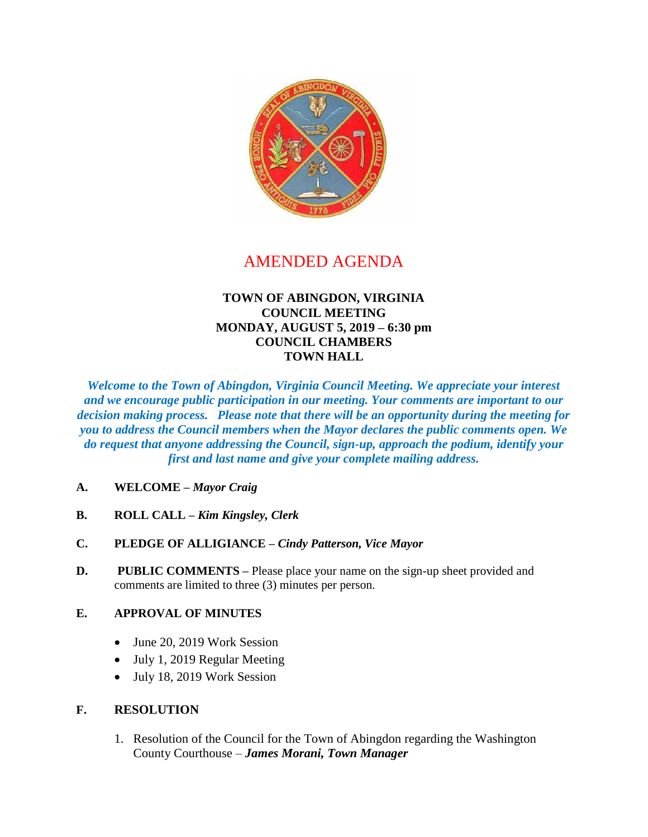

# AMENDED AGENDA

## **TOWN OF ABINGDON, VIRGINIA COUNCIL MEETING MONDAY, AUGUST 5, 2019 – 6:30 pm COUNCIL CHAMBERS TOWN HALL**

*Welcome to the Town of Abingdon, Virginia Council Meeting. We appreciate your interest and we encourage public participation in our meeting. Your comments are important to our decision making process. Please note that there will be an opportunity during the meeting for you to address the Council members when the Mayor declares the public comments open. We do request that anyone addressing the Council, sign-up, approach the podium, identify your first and last name and give your complete mailing address.*

- **A. WELCOME –** *Mayor Craig*
- **B. ROLL CALL –** *Kim Kingsley, Clerk*
- **C. PLEDGE OF ALLIGIANCE –** *Cindy Patterson, Vice Mayor*
- **D.** PUBLIC COMMENTS Please place your name on the sign-up sheet provided and comments are limited to three (3) minutes per person.

## **E. APPROVAL OF MINUTES**

- June 20, 2019 Work Session
- July 1, 2019 Regular Meeting
- July 18, 2019 Work Session

## **F. RESOLUTION**

1. Resolution of the Council for the Town of Abingdon regarding the Washington County Courthouse – *James Morani, Town Manager*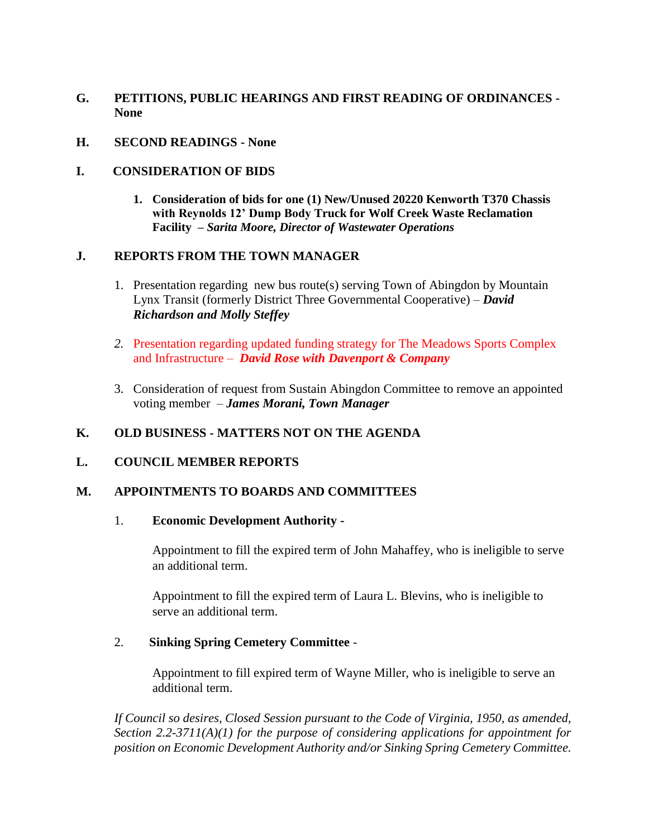- **G. PETITIONS, PUBLIC HEARINGS AND FIRST READING OF ORDINANCES None**
- **H. SECOND READINGS - None**

#### **I. CONSIDERATION OF BIDS**

**1. Consideration of bids for one (1) New/Unused 20220 Kenworth T370 Chassis with Reynolds 12' Dump Body Truck for Wolf Creek Waste Reclamation Facility –** *Sarita Moore, Director of Wastewater Operations*

## **J. REPORTS FROM THE TOWN MANAGER**

- 1. Presentation regarding new bus route(s) serving Town of Abingdon by Mountain Lynx Transit (formerly District Three Governmental Cooperative) – *David Richardson and Molly Steffey*
- *2.* Presentation regarding updated funding strategy for The Meadows Sports Complex and Infrastructure – *David Rose with Davenport & Company*
- 3. Consideration of request from Sustain Abingdon Committee to remove an appointed voting member – *James Morani, Town Manager*

## **K. OLD BUSINESS - MATTERS NOT ON THE AGENDA**

## **L. COUNCIL MEMBER REPORTS**

#### **M. APPOINTMENTS TO BOARDS AND COMMITTEES**

#### 1. **Economic Development Authority -**

Appointment to fill the expired term of John Mahaffey, who is ineligible to serve an additional term.

Appointment to fill the expired term of Laura L. Blevins, who is ineligible to serve an additional term.

#### 2. **Sinking Spring Cemetery Committee** -

Appointment to fill expired term of Wayne Miller, who is ineligible to serve an additional term.

*If Council so desires, Closed Session pursuant to the Code of Virginia, 1950, as amended, Section 2.2-3711(A)(1) for the purpose of considering applications for appointment for position on Economic Development Authority and/or Sinking Spring Cemetery Committee.*